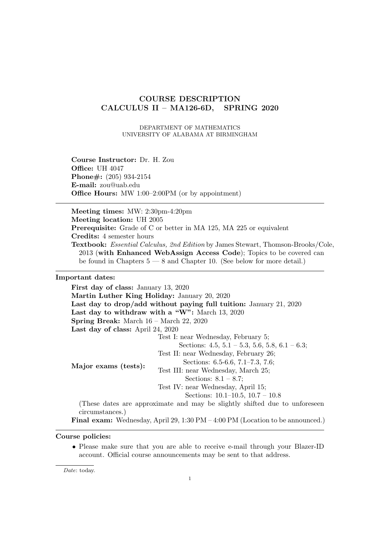# **COURSE DESCRIPTION CALCULUS II – MA126-6D, SPRING 2020**

DEPARTMENT OF MATHEMATICS UNIVERSITY OF ALABAMA AT BIRMINGHAM

**Course Instructor:** Dr. H. Zou **Office:** UH 4047 **Phone#:** (205) 934-2154 **E-mail:** zou@uab.edu **Office Hours:** MW 1:00–2:00PM (or by appointment)

**Meeting times:** MW: 2:30pm-4:20pm **Meeting location:** UH 2005 **Prerequisite:** Grade of C or better in MA 125, MA 225 or equivalent **Credits:** 4 semester hours **Textbook:** *Essential Calculus, 2nd Edition* by James Stewart, Thomson-Brooks/Cole, 2013 (**with Enhanced WebAssign Access Code**); Topics to be covered can be found in Chapters  $5 - 8$  and Chapter 10. (See below for more detail.)

## **Important dates:**

**First day of class:** January 13, 2020 **Martin Luther King Holiday:** January 20, 2020 **Last day to drop/add without paying full tuition:** January 21, 2020 **Last day to withdraw with a "W":** March 13, 2020 **Spring Break:** March 16 – March 22, 2020 **Last day of class:** April 24, 2020 **Major exams (tests):** Test I: near Wednesday, February 5; Sections:  $4.5, 5.1 - 5.3, 5.6, 5.8, 6.1 - 6.3;$ Test II: near Wednesday, February 26; Sections: 6.5-6.6, 7.1–7.3, 7.6; Test III: near Wednesday, March 25; Sections: 8.1 – 8.7; Test IV: near Wednesday, April 15; Sections: 10.1–10.5, 10.7 – 10.8 (These dates are approximate and may be slightly shifted due to unforeseen circumstances.) **Final exam:** Wednesday, April 29, 1:30 PM – 4:00 PM (Location to be announced.)

## **Course policies:**

• Please make sure that you are able to receive e-mail through your Blazer-ID account. Official course announcements may be sent to that address.

*Date*: today.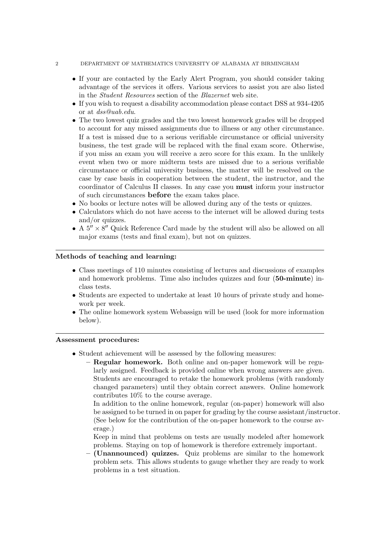#### 2 DEPARTMENT OF MATHEMATICS UNIVERSITY OF ALABAMA AT BIRMINGHAM

- If your are contacted by the Early Alert Program, you should consider taking advantage of the services it offers. Various services to assist you are also listed in the *Student Resources* section of the *Blazernet* web site.
- *•* If you wish to request a disability accommodation please contact DSS at 934-4205 or at *dss@uab.edu*.
- The two lowest quiz grades and the two lowest homework grades will be dropped to account for any missed assignments due to illness or any other circumstance. If a test is missed due to a serious verifiable circumstance or official university business, the test grade will be replaced with the final exam score. Otherwise, if you miss an exam you will receive a zero score for this exam. In the unlikely event when two or more midterm tests are missed due to a serious verifiable circumstance or official university business, the matter will be resolved on the case by case basis in cooperation between the student, the instructor, and the coordinator of Calculus II classes. In any case you **must** inform your instructor of such circumstances **before** the exam takes place.
- No books or lecture notes will be allowed during any of the tests or quizzes.
- Calculators which do not have access to the internet will be allowed during tests and/or quizzes.
- *•* A 5*′′ ×* 8 *′′* Quick Reference Card made by the student will also be allowed on all major exams (tests and final exam), but not on quizzes.

## **Methods of teaching and learning:**

- *•* Class meetings of 110 minutes consisting of lectures and discussions of examples and homework problems. Time also includes quizzes and four (**50-minute**) inclass tests.
- Students are expected to undertake at least 10 hours of private study and homework per week.
- The online homework system Webassign will be used (look for more information below).

## **Assessment procedures:**

- *•* Student achievement will be assessed by the following measures:
	- **– Regular homework.** Both online and on-paper homework will be regularly assigned. Feedback is provided online when wrong answers are given. Students are encouraged to retake the homework problems (with randomly changed parameters) until they obtain correct answers. Online homework contributes 10% to the course average.

In addition to the online homework, regular (on-paper) homework will also be assigned to be turned in on paper for grading by the course assistant/instructor. (See below for the contribution of the on-paper homework to the course average.)

Keep in mind that problems on tests are usually modeled after homework problems. Staying on top of homework is therefore extremely important.

**– (Unannounced) quizzes.** Quiz problems are similar to the homework problem sets. This allows students to gauge whether they are ready to work problems in a test situation.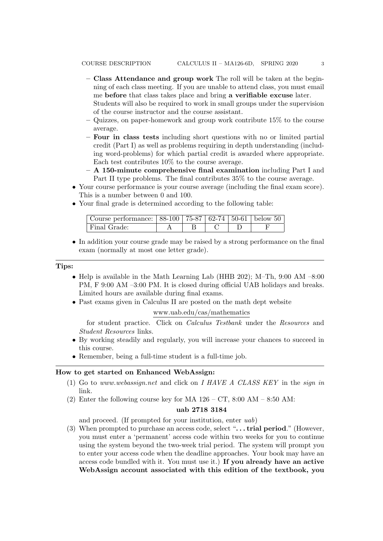- **– Class Attendance and group work** The roll will be taken at the beginning of each class meeting. If you are unable to attend class, you must email me **before** that class takes place and bring **a verifiable excuse** later. Students will also be required to work in small groups under the supervision of the course instructor and the course assistant.
- **–** Quizzes, on paper-homework and group work contribute 15% to the course average.
- **– Four in class tests** including short questions with no or limited partial credit (Part I) as well as problems requiring in depth understanding (including word-problems) for which partial credit is awarded where appropriate. Each test contributes 10% to the course average.
- **– A 150-minute comprehensive final examination** including Part I and Part II type problems. The final contributes 35% to the course average.
- Your course performance is your course average (including the final exam score). This is a number between 0 and 100.
- Your final grade is determined according to the following table:

| Course performance:   88-100   75-87   62-74   50-61   below 50 |  |  |  |
|-----------------------------------------------------------------|--|--|--|
| <sup>Final</sup> Grade:                                         |  |  |  |

• In addition your course grade may be raised by a strong performance on the final exam (normally at most one letter grade).

#### **Tips:**

- Help is available in the Math Learning Lab (HHB 202); M-Th, 9:00 AM –8:00 PM, F 9:00 AM –3:00 PM. It is closed during official UAB holidays and breaks. Limited hours are available during final exams.
- *•* Past exams given in Calculus II are posted on the math dept website

## www.uab.edu/cas/mathematics

for student practice. Click on *Calculus Testbank* under the *Resources* and *Student Resources* links.

- By working steadily and regularly, you will increase your chances to succeed in this course.
- Remember, being a full-time student is a full-time job.

## **How to get started on Enhanced WebAssign:**

- (1) Go to *www.webassign.net* and click on *I HAVE A CLASS KEY* in the *sign in* link.
- (2) Enter the following course key for MA  $126 CT$ , 8:00 AM 8:50 AM:

#### **uab 2718 3184**

and proceed. (If prompted for your institution, enter *uab*)

(3) When prompted to purchase an access code, select "**. . . trial period**." (However, you must enter a 'permanent' access code within two weeks for you to continue using the system beyond the two-week trial period. The system will prompt you to enter your access code when the deadline approaches. Your book may have an access code bundled with it. You must use it.) **If you already have an active WebAssign account associated with this edition of the textbook, you**